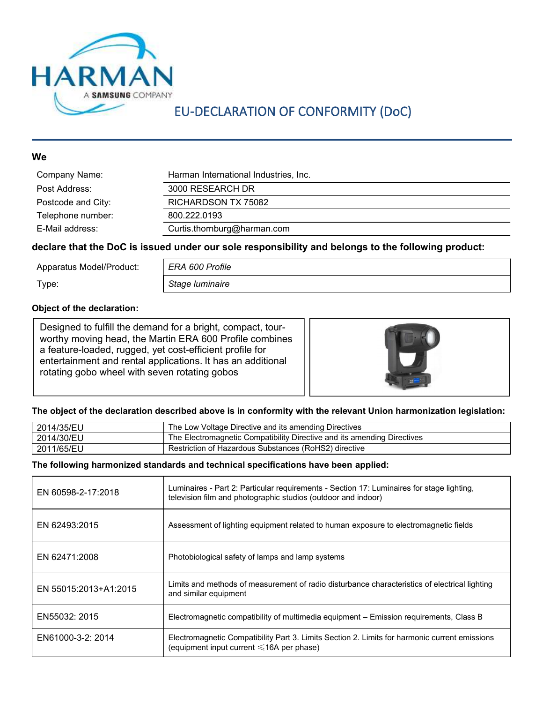

## EU-DECLARATION OF CONFORMITY (DoC)

#### **Since the Community of the Community of the Community of the Community of the Community of the Community of the Co**

| Company Name:      | Harman International Industries, Inc. |
|--------------------|---------------------------------------|
| Post Address:      | 3000 RESEARCH DR                      |
| Postcode and City: | RICHARDSON TX 75082                   |
| Telephone number:  | 800.222.0193                          |
| E-Mail address:    | Curtis.thornburg@harman.com           |

#### declare that the DoC is issued under our sole responsibility and belongs to the following product:

Apparatus Model/Product: ERA 600 Profile

Type: Stage luminaire

#### Object of the declaration:

Designed to fulfill the demand for a bright, compact, tourworthy moving head, the Martin ERA 600 Profile combines a feature-loaded, rugged, yet cost-efficient profile for entertainment and rental applications. It has an additional rotating gobo wheel with seven rotating gobos



#### The object of the declaration described above is in conformity with the relevant Union harmonization legislation:

| 2014/35/EU | The Low Voltage Directive and its amending Directives                   |
|------------|-------------------------------------------------------------------------|
| 2014/30/EU | The Electromagnetic Compatibility Directive and its amending Directives |
| 2011/65/EU | Restriction of Hazardous Substances (RoHS2) directive                   |

#### The following harmonized standards and technical specifications have been applied:

| EN 60598-2-17:2018    | Luminaires - Part 2: Particular requirements - Section 17: Luminaires for stage lighting,<br>television film and photographic studios (outdoor and indoor) |
|-----------------------|------------------------------------------------------------------------------------------------------------------------------------------------------------|
| EN 62493:2015         | Assessment of lighting equipment related to human exposure to electromagnetic fields                                                                       |
| EN 62471:2008         | Photobiological safety of lamps and lamp systems                                                                                                           |
| EN 55015:2013+A1:2015 | Limits and methods of measurement of radio disturbance characteristics of electrical lighting<br>and similar equipment                                     |
| EN55032: 2015         | Electromagnetic compatibility of multimedia equipment – Emission requirements, Class B                                                                     |
| EN61000-3-2: 2014     | Electromagnetic Compatibility Part 3. Limits Section 2. Limits for harmonic current emissions<br>(equipment input current $\leq 16A$ per phase)            |